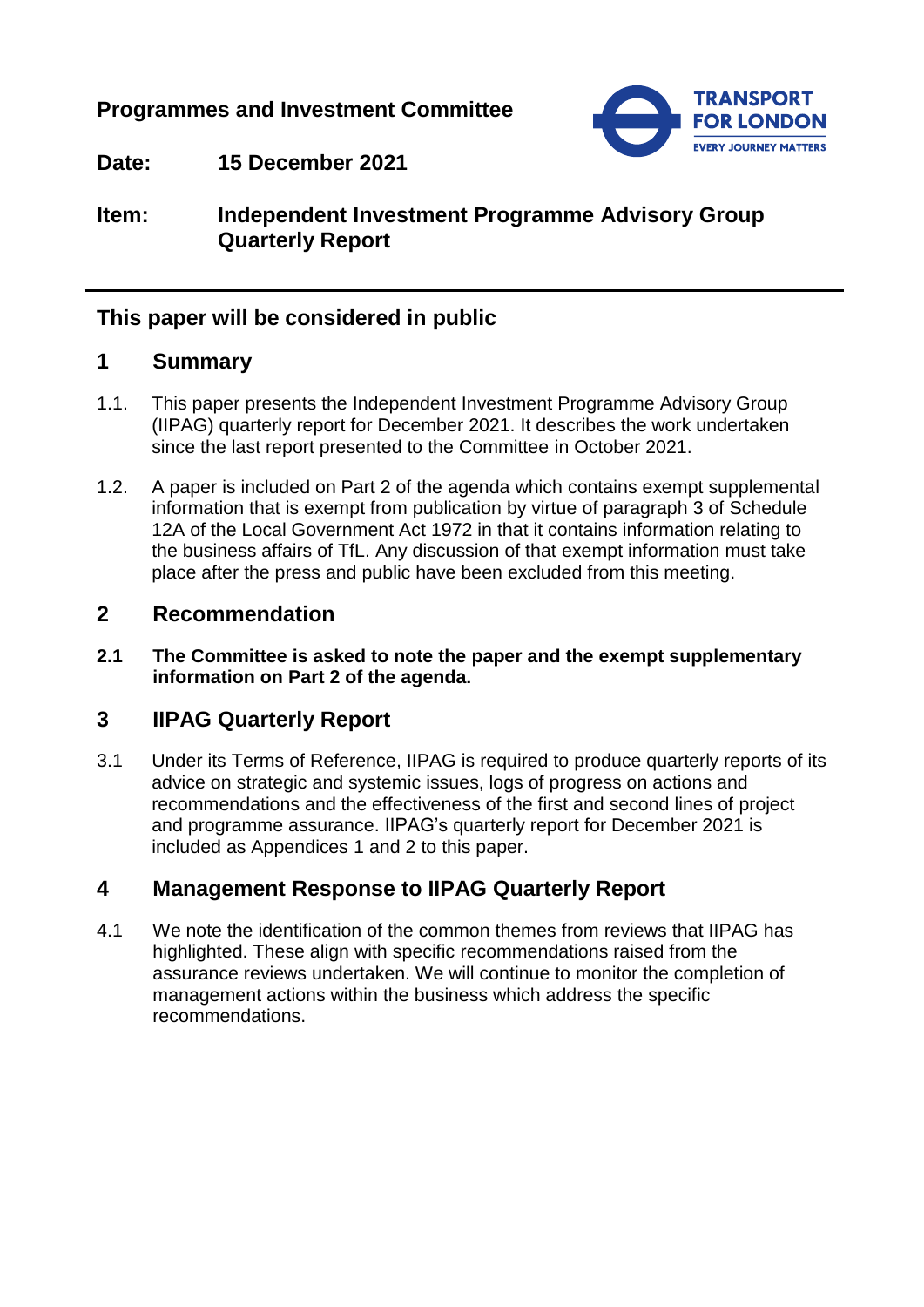# **Programmes and Investment Committee**



**Date: 15 December 2021**

# **Item: Independent Investment Programme Advisory Group Quarterly Report**

# **This paper will be considered in public**

### **1 Summary**

- 1.1. This paper presents the Independent Investment Programme Advisory Group (IIPAG) quarterly report for December 2021. It describes the work undertaken since the last report presented to the Committee in October 2021.
- 1.2. A paper is included on Part 2 of the agenda which contains exempt supplemental information that is exempt from publication by virtue of paragraph 3 of Schedule 12A of the Local Government Act 1972 in that it contains information relating to the business affairs of TfL. Any discussion of that exempt information must take place after the press and public have been excluded from this meeting.

### **2 Recommendation**

**2.1 The Committee is asked to note the paper and the exempt supplementary information on Part 2 of the agenda.**

### **3 IIPAG Quarterly Report**

3.1 Under its Terms of Reference, IIPAG is required to produce quarterly reports of its advice on strategic and systemic issues, logs of progress on actions and recommendations and the effectiveness of the first and second lines of project and programme assurance. IIPAG's quarterly report for December 2021 is included as Appendices 1 and 2 to this paper.

# **4 Management Response to IIPAG Quarterly Report**

4.1 We note the identification of the common themes from reviews that IIPAG has highlighted. These align with specific recommendations raised from the assurance reviews undertaken. We will continue to monitor the completion of management actions within the business which address the specific recommendations.